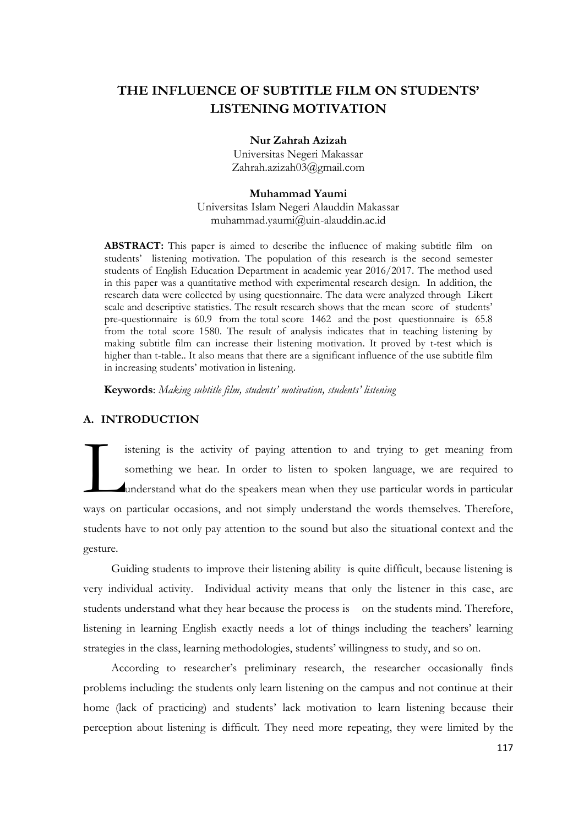# **THE INFLUENCE OF SUBTITLE FILM ON STUDENTS' LISTENING MOTIVATION**

### **Nur Zahrah Azizah**

Universitas Negeri Makassar [Zahrah.azizah03@gmail.com](mailto:Zahrah.azizah03@gmail.com)

### **Muhammad Yaumi**

Universitas Islam Negeri Alauddin Makassar [muhammad.yaumi@uin-alauddin.ac.id](mailto:muhammad.yaumi@uin-alauddin.ac.id)

**ABSTRACT:** This paper is aimed to describe the influence of making subtitle film on students' listening motivation. The population of this research is the second semester students of English Education Department in academic year 2016/2017. The method used in this paper was a quantitative method with experimental research design. In addition, the research data were collected by using questionnaire. The data were analyzed through Likert scale and descriptive statistics. The result research shows that the mean score of students' pre-questionnaire is 60.9 from the total score 1462 and the post questionnaire is 65.8 from the total score 1580. The result of analysis indicates that in teaching listening by making subtitle film can increase their listening motivation. It proved by t-test which is higher than t-table.. It also means that there are a significant influence of the use subtitle film in increasing students' motivation in listening.

**Keywords**: *Making subtitle film, students' motivation, students' listening*

# **A. INTRODUCTION**

istening is the activity of paying attention to and trying to get meaning from something we hear. In order to listen to spoken language, we are required to understand what do the speakers mean when they use particular words in particular ways on particular occasions, and not simply understand the words themselves. Therefore, students have to not only pay attention to the sound but also the situational context and the gesture.  $\sum_{n=1}$ 

Guiding students to improve their listening ability is quite difficult, because listening is very individual activity. Individual activity means that only the listener in this case, are students understand what they hear because the process is on the students mind. Therefore, listening in learning English exactly needs a lot of things including the teachers' learning strategies in the class, learning methodologies, students' willingness to study, and so on.

According to researcher's preliminary research, the researcher occasionally finds problems including: the students only learn listening on the campus and not continue at their home (lack of practicing) and students' lack motivation to learn listening because their perception about listening is difficult. They need more repeating, they were limited by the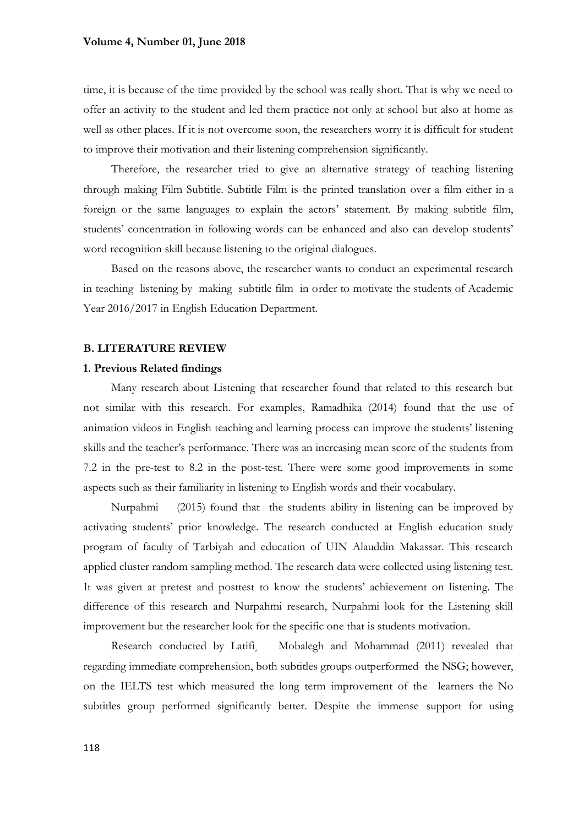### **Volume 4, Number 01, June 2018**

time, it is because of the time provided by the school was really short. That is why we need to offer an activity to the student and led them practice not only at school but also at home as well as other places. If it is not overcome soon, the researchers worry it is difficult for student to improve their motivation and their listening comprehension significantly.

Therefore, the researcher tried to give an alternative strategy of teaching listening through making Film Subtitle. Subtitle Film is the printed translation over a film either in a foreign or the same languages to explain the actors' statement. By making subtitle film, students' concentration in following words can be enhanced and also can develop students' word recognition skill because listening to the original dialogues.

Based on the reasons above, the researcher wants to conduct an experimental research in teaching listening by making subtitle film in order to motivate the students of Academic Year 2016/2017 in English Education Department.

### **B. LITERATURE REVIEW**

### **1. Previous Related findings**

Many research about Listening that researcher found that related to this research but not similar with this research. For examples, Ramadhika (2014) found that the use of animation videos in English teaching and learning process can improve the students' listening skills and the teacher's performance. There was an increasing mean score of the students from 7.2 in the pre-test to 8.2 in the post-test. There were some good improvements in some aspects such as their familiarity in listening to English words and their vocabulary.

Nurpahmi (2015) found that the students ability in listening can be improved by activating students' prior knowledge. The research conducted at English education study program of faculty of Tarbiyah and education of UIN Alauddin Makassar. This research applied cluster random sampling method. The research data were collected using listening test. It was given at pretest and posttest to know the students' achievement on listening. The difference of this research and Nurpahmi research, Nurpahmi look for the Listening skill improvement but the researcher look for the specific one that is students motivation.

Research conducted by Latifi<sub>.</sub> Mobalegh and Mohammad (2011) revealed that regarding immediate comprehension, both subtitles groups outperformed the NSG; however, on the IELTS test which measured the long term improvement of the learners the No subtitles group performed significantly better. Despite the immense support for using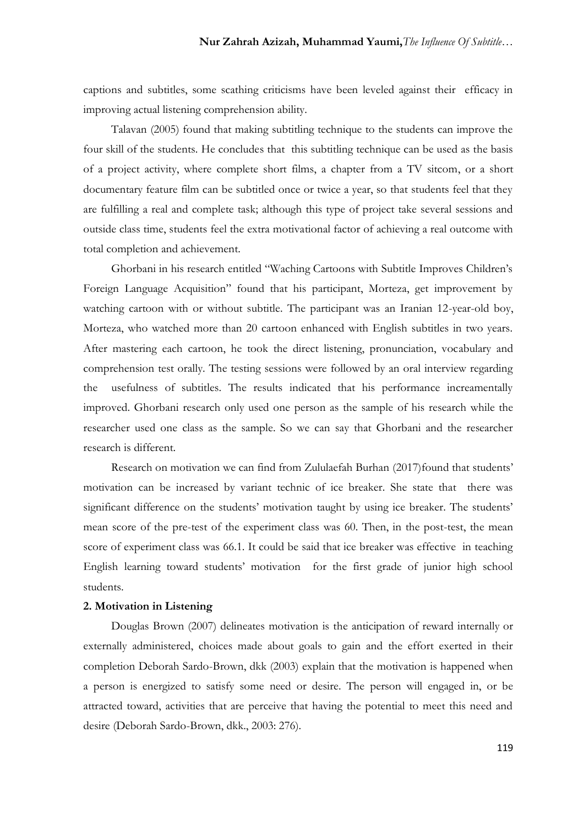captions and subtitles, some scathing criticisms have been leveled against their efficacy in improving actual listening comprehension ability.

Talavan (2005) found that making subtitling technique to the students can improve the four skill of the students. He concludes that this subtitling technique can be used as the basis of a project activity, where complete short films, a chapter from a TV sitcom, or a short documentary feature film can be subtitled once or twice a year, so that students feel that they are fulfilling a real and complete task; although this type of project take several sessions and outside class time, students feel the extra motivational factor of achieving a real outcome with total completion and achievement.

Ghorbani in his research entitled "Waching Cartoons with Subtitle Improves Children's Foreign Language Acquisition" found that his participant, Morteza, get improvement by watching cartoon with or without subtitle. The participant was an Iranian 12-year-old boy, Morteza, who watched more than 20 cartoon enhanced with English subtitles in two years. After mastering each cartoon, he took the direct listening, pronunciation, vocabulary and comprehension test orally. The testing sessions were followed by an oral interview regarding the usefulness of subtitles. The results indicated that his performance increamentally improved. Ghorbani research only used one person as the sample of his research while the researcher used one class as the sample. So we can say that Ghorbani and the researcher research is different.

Research on motivation we can find from Zululaefah Burhan (2017)found that students' motivation can be increased by variant technic of ice breaker. She state that there was significant difference on the students' motivation taught by using ice breaker. The students' mean score of the pre-test of the experiment class was 60. Then, in the post-test, the mean score of experiment class was 66.1. It could be said that ice breaker was effective in teaching English learning toward students' motivation for the first grade of junior high school students.

# **2. Motivation in Listening**

Douglas Brown (2007) delineates motivation is the anticipation of reward internally or externally administered, choices made about goals to gain and the effort exerted in their completion Deborah Sardo-Brown, dkk (2003) explain that the motivation is happened when a person is energized to satisfy some need or desire. The person will engaged in, or be attracted toward, activities that are perceive that having the potential to meet this need and desire (Deborah Sardo-Brown, dkk., 2003: 276).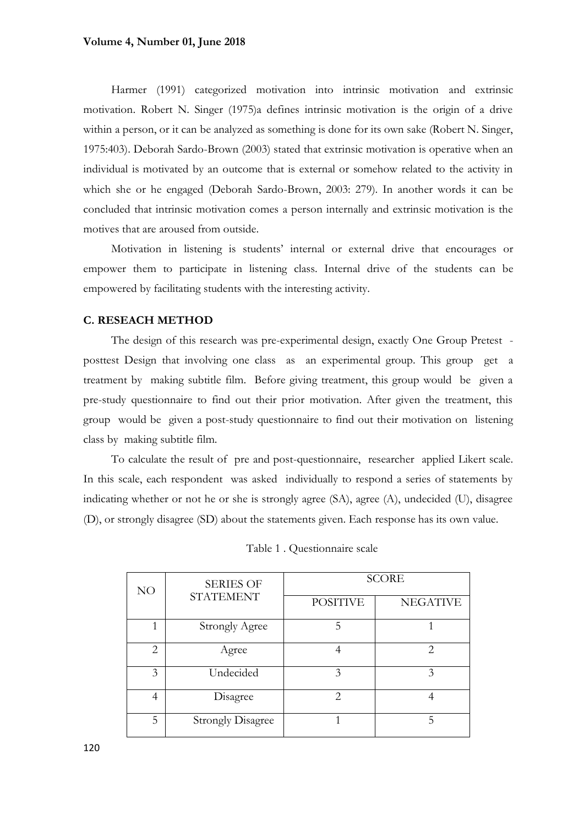### **Volume 4, Number 01, June 2018**

Harmer (1991) categorized motivation into intrinsic motivation and extrinsic motivation. Robert N. Singer (1975)a defines intrinsic motivation is the origin of a drive within a person, or it can be analyzed as something is done for its own sake (Robert N. Singer, 1975:403). Deborah Sardo-Brown (2003) stated that extrinsic motivation is operative when an individual is motivated by an outcome that is external or somehow related to the activity in which she or he engaged (Deborah Sardo-Brown, 2003: 279). In another words it can be concluded that intrinsic motivation comes a person internally and extrinsic motivation is the motives that are aroused from outside.

Motivation in listening is students' internal or external drive that encourages or empower them to participate in listening class. Internal drive of the students can be empowered by facilitating students with the interesting activity.

# **C. RESEACH METHOD**

The design of this research was pre-experimental design, exactly One Group Pretest posttest Design that involving one class as an experimental group. This group get a treatment by making subtitle film. Before giving treatment, this group would be given a pre-study questionnaire to find out their prior motivation. After given the treatment, this group would be given a post-study questionnaire to find out their motivation on listening class by making subtitle film.

To calculate the result of pre and post-questionnaire, researcher applied Likert scale. In this scale, each respondent was asked individually to respond a series of statements by indicating whether or not he or she is strongly agree (SA), agree (A), undecided (U), disagree (D), or strongly disagree (SD) about the statements given. Each response has its own value.

| NO             | <b>SERIES OF</b><br><b>STATEMENT</b> | <b>SCORE</b>                |                                                                                                                                                                 |  |
|----------------|--------------------------------------|-----------------------------|-----------------------------------------------------------------------------------------------------------------------------------------------------------------|--|
|                |                                      | <b>POSITIVE</b>             | <b>NEGATIVE</b>                                                                                                                                                 |  |
| 1              | <b>Strongly Agree</b>                | 5                           |                                                                                                                                                                 |  |
| 2              | Agree                                |                             | $\mathcal{D}_{\mathcal{A}}^{\mathcal{A}}(\mathcal{A})=\mathcal{D}_{\mathcal{A}}^{\mathcal{A}}(\mathcal{A})\mathcal{D}_{\mathcal{A}}^{\mathcal{A}}(\mathcal{A})$ |  |
| 3              | Undecided                            | 3                           | 3                                                                                                                                                               |  |
| $\overline{4}$ | Disagree                             | $\mathcal{D}_{\mathcal{L}}$ |                                                                                                                                                                 |  |
| 5              | <b>Strongly Disagree</b>             | 1                           | 5                                                                                                                                                               |  |

Table 1 . Questionnaire scale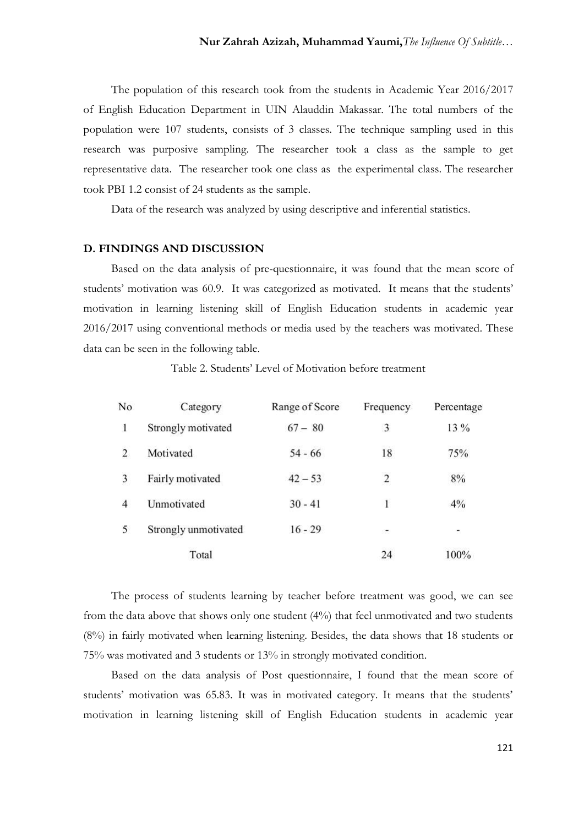The population of this research took from the students in Academic Year 2016/2017 of English Education Department in UIN Alauddin Makassar. The total numbers of the population were 107 students, consists of 3 classes. The technique sampling used in this research was purposive sampling. The researcher took a class as the sample to get representative data. The researcher took one class as the experimental class. The researcher took PBI 1.2 consist of 24 students as the sample.

Data of the research was analyzed by using descriptive and inferential statistics.

### **D. FINDINGS AND DISCUSSION**

Based on the data analysis of pre-questionnaire, it was found that the mean score of students' motivation was 60.9. It was categorized as motivated. It means that the students' motivation in learning listening skill of English Education students in academic year 2016/2017 using conventional methods or media used by the teachers was motivated. These data can be seen in the following table.

Table 2. Students' Level of Motivation before treatment

| No             | Category             | Range of Score | Frequency                                                     | Percentage |
|----------------|----------------------|----------------|---------------------------------------------------------------|------------|
| 1              | Strongly motivated   | $67 - 80$      | 3                                                             | 13 %       |
| $\overline{2}$ | Motivated            | $54 - 66$      | 18                                                            | 75%        |
| 3              | Fairly motivated     | $42 - 53$      | $\overline{2}$                                                | $8\%$      |
| $\overline{4}$ | Unmotivated          | $30 - 41$      | 1                                                             | 4%         |
| 5              | Strongly unmotivated | $16 - 29$      | $\mathcal{C}^{\bullet\bullet}_{\mathcal{C}^{\bullet\bullet}}$ | ÷.         |
|                | Total                |                | 24                                                            | 100%       |

The process of students learning by teacher before treatment was good, we can see from the data above that shows only one student (4%) that feel unmotivated and two students (8%) in fairly motivated when learning listening. Besides, the data shows that 18 students or 75% was motivated and 3 students or 13% in strongly motivated condition.

Based on the data analysis of Post questionnaire, I found that the mean score of students' motivation was 65.83. It was in motivated category. It means that the students' motivation in learning listening skill of English Education students in academic year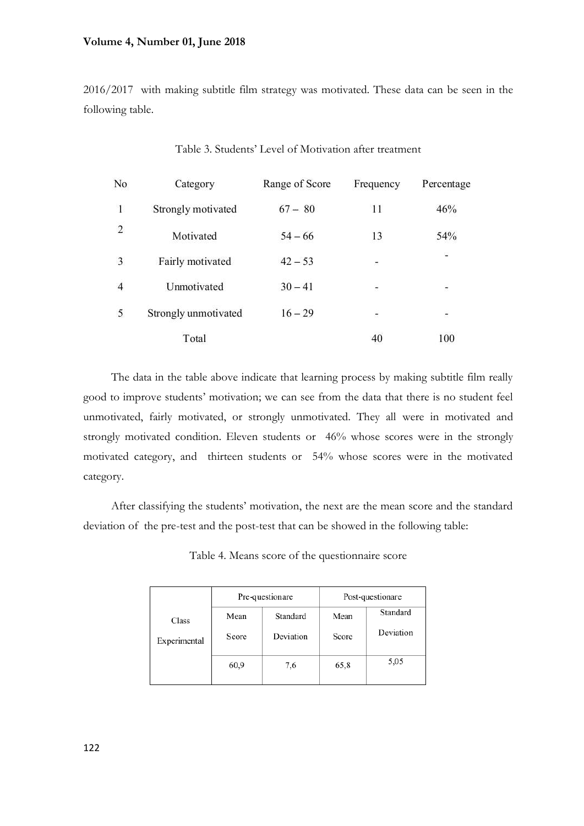### **Volume 4, Number 01, June 2018**

2016/2017 with making subtitle film strategy was motivated. These data can be seen in the following table.

| No             | Category             | Range of Score | Frequency                | Percentage               |
|----------------|----------------------|----------------|--------------------------|--------------------------|
| $\mathbf{1}$   | Strongly motivated   | $67 - 80$      | 11                       | 46%                      |
| $\overline{2}$ | Motivated            | $54 - 66$      | 13                       | 54%                      |
| 3              | Fairly motivated     | $42 - 53$      | ×                        | 當                        |
| $\overline{4}$ | Unmotivated          | $30 - 41$      | $\overline{\phantom{a}}$ | $\overline{\phantom{a}}$ |
| 5              | Strongly unmotivated | $16 - 29$      | $\overline{\sigma}$      | ÷.                       |
|                | Total                |                | 40                       | 100                      |

Table 3. Students' Level of Motivation after treatment

The data in the table above indicate that learning process by making subtitle film really good to improve students' motivation; we can see from the data that there is no student feel unmotivated, fairly motivated, or strongly unmotivated. They all were in motivated and strongly motivated condition. Eleven students or 46% whose scores were in the strongly motivated category, and thirteen students or 54% whose scores were in the motivated category.

After classifying the students' motivation, the next are the mean score and the standard deviation of the pre-test and the post-test that can be showed in the following table:

|              | Pre-questionare |           | Post-questionare |           |
|--------------|-----------------|-----------|------------------|-----------|
| Class        | Mean            | Standard  | Mean             | Standard  |
| Experimental | Score           | Deviation | Score            | Deviation |
|              | 60,9            | 7,6       | 65,8             | 5,05      |

Table 4. Means score of the questionnaire score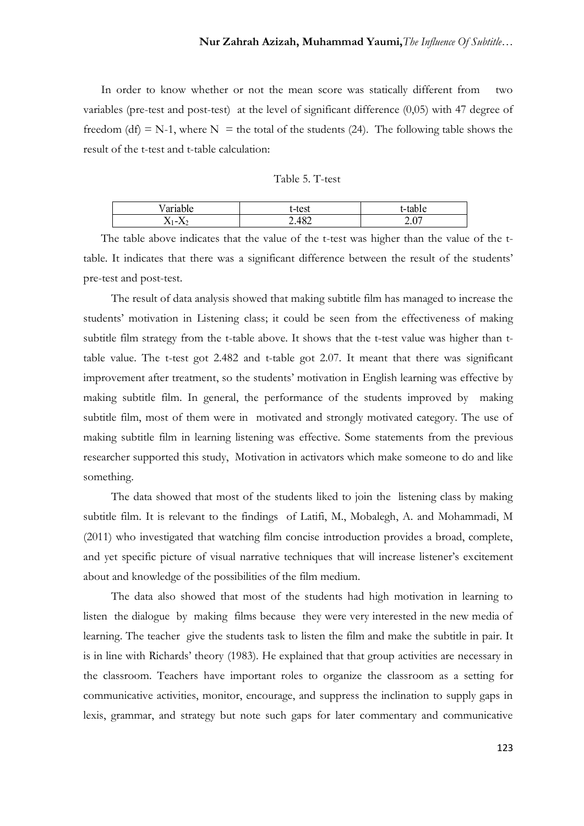In order to know whether or not the mean score was statically different from two variables (pre-test and post-test) at the level of significant difference (0,05) with 47 degree of freedom (df) = N-1, where N = the total of the students (24). The following table shows the result of the t-test and t-table calculation:

| Table 5. T-test |  |  |
|-----------------|--|--|
|                 |  |  |

|                                            | test       |              |
|--------------------------------------------|------------|--------------|
| $\mathbf{v}$<br>$2 \mathbf{1}$<br>$\cdots$ | 48°<br>عدت | $\sim$<br>້⊶ |

The table above indicates that the value of the t-test was higher than the value of the ttable. It indicates that there was a significant difference between the result of the students' pre-test and post-test.

The result of data analysis showed that making subtitle film has managed to increase the students' motivation in Listening class; it could be seen from the effectiveness of making subtitle film strategy from the t-table above. It shows that the t-test value was higher than ttable value. The t-test got 2.482 and t-table got 2.07. It meant that there was significant improvement after treatment, so the students' motivation in English learning was effective by making subtitle film. In general, the performance of the students improved by making subtitle film, most of them were in motivated and strongly motivated category. The use of making subtitle film in learning listening was effective. Some statements from the previous researcher supported this study, Motivation in activators which make someone to do and like something.

The data showed that most of the students liked to join the listening class by making subtitle film. It is relevant to the findings of Latifi, M., Mobalegh, A. and Mohammadi, M (2011) who investigated that watching film concise introduction provides a broad, complete, and yet specific picture of visual narrative techniques that will increase listener's excitement about and knowledge of the possibilities of the film medium.

The data also showed that most of the students had high motivation in learning to listen the dialogue by making films because they were very interested in the new media of learning. The teacher give the students task to listen the film and make the subtitle in pair. It is in line with Richards' theory (1983). He explained that that group activities are necessary in the classroom. Teachers have important roles to organize the classroom as a setting for communicative activities, monitor, encourage, and suppress the inclination to supply gaps in lexis, grammar, and strategy but note such gaps for later commentary and communicative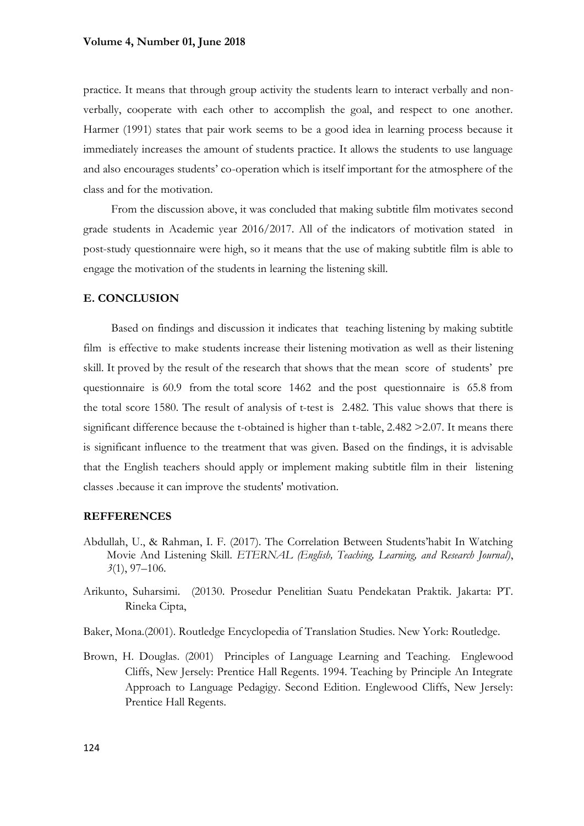practice. It means that through group activity the students learn to interact verbally and nonverbally, cooperate with each other to accomplish the goal, and respect to one another. Harmer (1991) states that pair work seems to be a good idea in learning process because it immediately increases the amount of students practice. It allows the students to use language and also encourages students' co-operation which is itself important for the atmosphere of the class and for the motivation.

From the discussion above, it was concluded that making subtitle film motivates second grade students in Academic year 2016/2017. All of the indicators of motivation stated in post-study questionnaire were high, so it means that the use of making subtitle film is able to engage the motivation of the students in learning the listening skill.

### **E. CONCLUSION**

Based on findings and discussion it indicates that teaching listening by making subtitle film is effective to make students increase their listening motivation as well as their listening skill. It proved by the result of the research that shows that the mean score of students' pre questionnaire is 60.9 from the total score 1462 and the post questionnaire is 65.8 from the total score 1580. The result of analysis of t-test is 2.482. This value shows that there is significant difference because the t-obtained is higher than t-table, 2.482 > 2.07. It means there is significant influence to the treatment that was given. Based on the findings, it is advisable that the English teachers should apply or implement making subtitle film in their listening classes .because it can improve the students' motivation.

# **REFFERENCES**

- Abdullah, U., & Rahman, I. F. (2017). The Correlation Between Students'habit In Watching Movie And Listening Skill. *ETERNAL (English, Teaching, Learning, and Research Journal)*, *3*(1), 97–106.
- Arikunto, Suharsimi. (20130. Prosedur Penelitian Suatu Pendekatan Praktik. Jakarta: PT. Rineka Cipta,
- Baker, Mona.(2001). Routledge Encyclopedia of Translation Studies. New York: Routledge.
- Brown, H. Douglas. (2001) Principles of Language Learning and Teaching. Englewood Cliffs, New Jersely: Prentice Hall Regents. 1994. Teaching by Principle An Integrate Approach to Language Pedagigy. Second Edition. Englewood Cliffs, New Jersely: Prentice Hall Regents.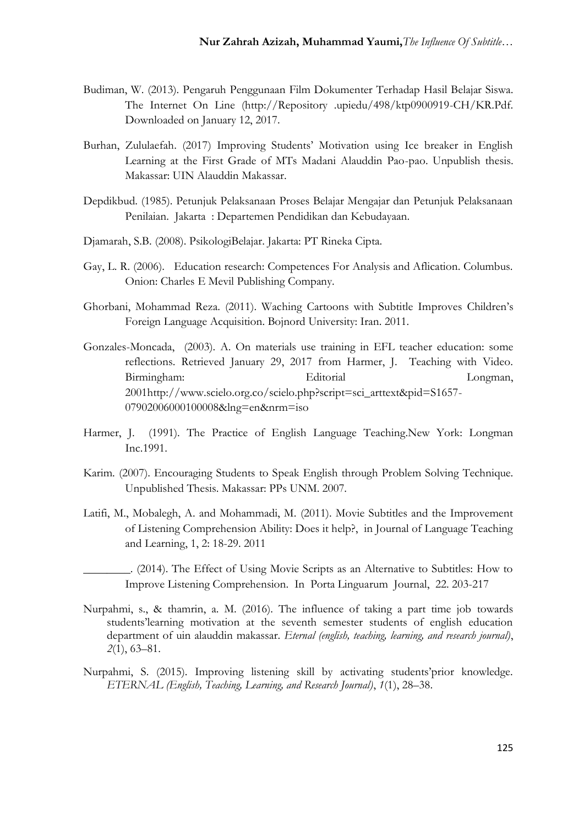- Budiman, W. (2013). Pengaruh Penggunaan Film Dokumenter Terhadap Hasil Belajar Siswa. The Internet On Line (http://Repository .upiedu/498/ktp0900919-CH/KR.Pdf. Downloaded on January 12, 2017.
- Burhan, Zululaefah. (2017) Improving Students' Motivation using Ice breaker in English Learning at the First Grade of MTs Madani Alauddin Pao-pao. Unpublish thesis. Makassar: UIN Alauddin Makassar.
- Depdikbud. (1985). Petunjuk Pelaksanaan Proses Belajar Mengajar dan Petunjuk Pelaksanaan Penilaian. Jakarta : Departemen Pendidikan dan Kebudayaan.
- Djamarah, S.B. (2008). PsikologiBelajar. Jakarta: PT Rineka Cipta.
- Gay, L. R. (2006). Education research: Competences For Analysis and Aflication. Columbus. Onion: Charles E Mevil Publishing Company.
- Ghorbani, Mohammad Reza. (2011). Waching Cartoons with Subtitle Improves Children's Foreign Language Acquisition. Bojnord University: Iran. 2011.
- Gonzales-Moncada, (2003). A. On materials use training in EFL teacher education: some reflections. Retrieved January 29, 2017 from Harmer, J. Teaching with Video. Birmingham: Editorial Longman, 2001http://www.scielo.org.co/scielo.php?script=sci\_arttext&pid=S1657- 07902006000100008&lng=en&nrm=iso
- Harmer, J. (1991). The Practice of English Language Teaching.New York: Longman Inc.1991.
- Karim. (2007). Encouraging Students to Speak English through Problem Solving Technique. Unpublished Thesis. Makassar: PPs UNM. 2007.
- Latifi, M., Mobalegh, A. and Mohammadi, M. (2011). Movie Subtitles and the Improvement of Listening Comprehension Ability: Does it help?, in Journal of Language Teaching and Learning, 1, 2: 18-29. 2011
- \_\_\_\_\_\_\_\_. (2014). The Effect of Using Movie Scripts as an Alternative to Subtitles: How to Improve Listening Comprehension. In Porta Linguarum Journal, 22. 203-217
- Nurpahmi, s., & thamrin, a. M. (2016). The influence of taking a part time job towards students'learning motivation at the seventh semester students of english education department of uin alauddin makassar. *Eternal (english, teaching, learning, and research journal)*, *2*(1), 63–81.
- Nurpahmi, S. (2015). Improving listening skill by activating students'prior knowledge. *ETERNAL (English, Teaching, Learning, and Research Journal)*, *1*(1), 28–38.